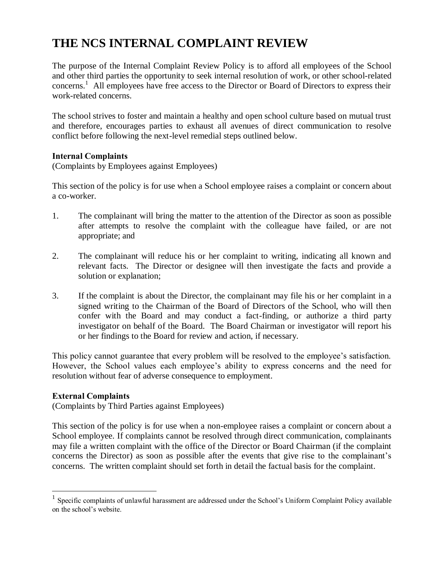# **THE NCS INTERNAL COMPLAINT REVIEW**

The purpose of the Internal Complaint Review Policy is to afford all employees of the School and other third parties the opportunity to seek internal resolution of work, or other school-related concerns. 1 All employees have free access to the Director or Board of Directors to express their work-related concerns.

The school strives to foster and maintain a healthy and open school culture based on mutual trust and therefore, encourages parties to exhaust all avenues of direct communication to resolve conflict before following the next-level remedial steps outlined below.

## **Internal Complaints**

(Complaints by Employees against Employees)

This section of the policy is for use when a School employee raises a complaint or concern about a co-worker.

- 1. The complainant will bring the matter to the attention of the Director as soon as possible after attempts to resolve the complaint with the colleague have failed, or are not appropriate; and
- 2. The complainant will reduce his or her complaint to writing, indicating all known and relevant facts. The Director or designee will then investigate the facts and provide a solution or explanation;
- 3. If the complaint is about the Director, the complainant may file his or her complaint in a signed writing to the Chairman of the Board of Directors of the School, who will then confer with the Board and may conduct a fact-finding, or authorize a third party investigator on behalf of the Board. The Board Chairman or investigator will report his or her findings to the Board for review and action, if necessary.

This policy cannot guarantee that every problem will be resolved to the employee's satisfaction. However, the School values each employee's ability to express concerns and the need for resolution without fear of adverse consequence to employment.

#### **External Complaints**

 $\overline{a}$ 

(Complaints by Third Parties against Employees)

This section of the policy is for use when a non-employee raises a complaint or concern about a School employee. If complaints cannot be resolved through direct communication, complainants may file a written complaint with the office of the Director or Board Chairman (if the complaint concerns the Director) as soon as possible after the events that give rise to the complainant's concerns. The written complaint should set forth in detail the factual basis for the complaint.

<sup>1</sup> Specific complaints of unlawful harassment are addressed under the School's Uniform Complaint Policy available on the school's website.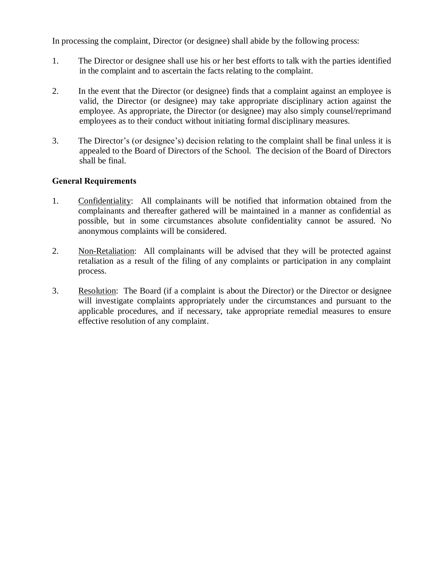In processing the complaint, Director (or designee) shall abide by the following process:

- 1. The Director or designee shall use his or her best efforts to talk with the parties identified in the complaint and to ascertain the facts relating to the complaint.
- 2. In the event that the Director (or designee) finds that a complaint against an employee is valid, the Director (or designee) may take appropriate disciplinary action against the employee. As appropriate, the Director (or designee) may also simply counsel/reprimand employees as to their conduct without initiating formal disciplinary measures.
- 3. The Director's (or designee's) decision relating to the complaint shall be final unless it is appealed to the Board of Directors of the School. The decision of the Board of Directors shall be final.

## **General Requirements**

- 1. Confidentiality:All complainants will be notified that information obtained from the complainants and thereafter gathered will be maintained in a manner as confidential as possible, but in some circumstances absolute confidentiality cannot be assured. No anonymous complaints will be considered.
- 2. Non-Retaliation:All complainants will be advised that they will be protected against retaliation as a result of the filing of any complaints or participation in any complaint process.
- 3. Resolution:The Board (if a complaint is about the Director) or the Director or designee will investigate complaints appropriately under the circumstances and pursuant to the applicable procedures, and if necessary, take appropriate remedial measures to ensure effective resolution of any complaint.